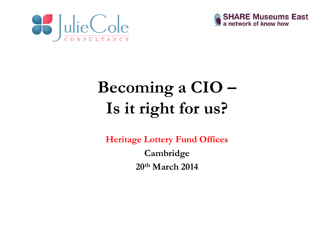



# **Becoming a CIO – Is it right for us?**

**Heritage Lottery Fund Offices Cambridge 20t<sup>h</sup> March 2014**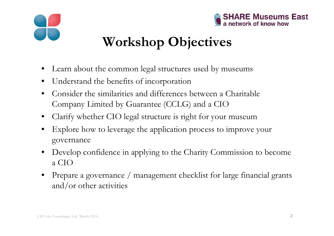



# **Workshop Objectives**

- Learn about the common legal structures used by museums
- Understand the benefits of incorporation
- Consider the similarities and differences between a Charitable Company Limited by Guarantee (CCLG) and a CIO
- Clarify whether CIO legal structure is right for your museum
- Explore how to leverage the application process to improve your governance
- Develop confidence in applying to the Charity Commission to become a CIO
- Prepare a governance / management checklist for large financial grants and/or other activities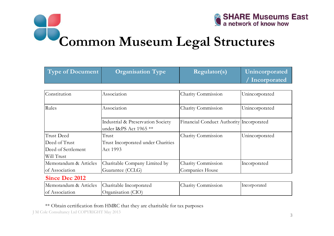

**Common Museum Legal Structures**

| <b>Type of Document</b> | <b>Organisation Type</b>                                    | <b>Regulator(s)</b>                      | Unincorporated |
|-------------------------|-------------------------------------------------------------|------------------------------------------|----------------|
|                         |                                                             |                                          | Incorporated   |
|                         |                                                             |                                          |                |
| Constitution            | Association                                                 | Charity Commission                       | Unincorporated |
| Rules                   | Association                                                 | Charity Commission                       | Unincorporated |
|                         | Industrial & Preservation Society<br>under I&PS Act 1965 ** | Financial Conduct Authority Incorporated |                |
| <b>Trust Deed</b>       | Trust                                                       | Charity Commission                       | Unincorporated |
| Deed of Trust           | Trust Incorporated under Charities                          |                                          |                |
| Deed of Settlement      | Act 1993                                                    |                                          |                |
| Will Trust              |                                                             |                                          |                |
| Memorandum & Articles   | Charitable Company Limited by                               | Charity Commission                       | Incorporated   |
| of Association          | Guarantee (CCLG)                                            | Companies House                          |                |
| <b>Since Dec 2012</b>   |                                                             |                                          |                |
| Memorandum & Articles   | Charitable Incorporated                                     | Charity Commission                       | Incorporated   |
| of Association          | Organisation (CIO)                                          |                                          |                |

#### \*\* Obtain certification from HMRC that they are charitable for tax purposes

J M Cole Consultancy Ltd COPYRIGHT May 2013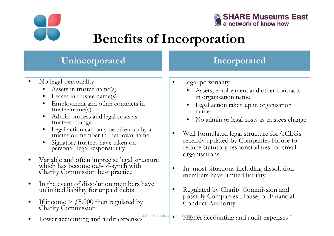



### **Benefits of Incorporation**

#### **Unincorporated Incorporated**

- No legal personality
	- Assets in trustee name(s)
	- Leases in trustee name(s)
	- Employment and other contracts in trustee name(s)
	- Admin process and legal costs as trustees change
	- Legal action can only be taken up by a trustee or member in their own name
	- Signatory trustees have taken on personal legal responsibility
- Variable and often imprecise legal structure which has become out-of-synch with Charity Commission best practice
- In the event of dissolution members have unlimited liability for unpaid debts
- If income  $\geq \text{\it L5,000}$  then regulated by Charity Commission
- 
- Legal personality
	- Assets, employment and other contracts in organisation name
	- Legal action taken up in organisation name
	- No admin or legal costs as trustees change
- Well formulated legal structure for CCLGs recently updated by Companies House to reduce statutory responsibilities for small organisations
- In most situations including dissolution members have limited liability
- Regulated by Charity Commission and possibly Companies House, or Financial Conduct Authority
- Lower accounting and audit expenses

J M Cole Consultancy btd COPYRIGHT Mccodunting and audit expenses 4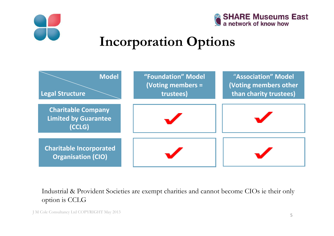



### **Incorporation Options**



Industrial & Provident Societies are exempt charities and cannot become CIOs ie their only option is CCLG

J M Cole Consultancy Ltd COPYRIGHT May 2013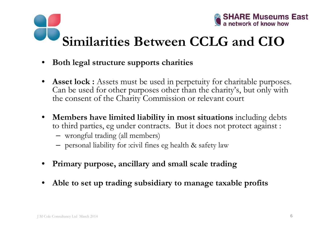



### **Similarities Between CCLG and CIO**

- **Both legal structure supports charities**
- Asset lock : Assets must be used in perpetuity for charitable purposes. Can be used for other purposes other than the charity's, but only with the consent of the Charity Commission or relevant court
- **Members have limited liability in most situations** including debts to third parties, eg under contracts. But it does not protect against :
	- wrongful trading (all members)
	- personal liability for :civil fines eg health & safety law
- **Primary purpose, ancillary and small scale trading**
- **Able to set up trading subsidiary to manage taxable profits**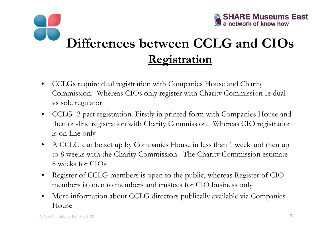

### **Differences between CCLG and CIOs Registration**

- CCLGs require dual registration with Companies House and Charity Commission. Whereas CIOs only register with Charity Commission Ie dual vs sole regulator
- CCLG 2 part registration. Firstly in printed form with Companies House and then on-line registration with Charity Commission. Whereas CIO registration is on-line only
- A CCLG can be set up by Companies House in less than 1 week and then up to 8 weeks with the Charity Commission. The Charity Commission estimate 8 weeks for CIOs
- Register of CCLG members is open to the public, whereas Register of CIO members is open to members and trustees for CIO business only
- More information about CCLG directors publically available via Companies House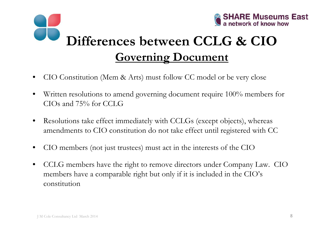

# **Differences between CCLG & CIO Governing Document**

- CIO Constitution (Mem & Arts) must follow CC model or be very close
- Written resolutions to amend governing document require 100% members for CIOs and 75% for CCLG
- Resolutions take effect immediately with CCLGs (except objects), whereas amendments to CIO constitution do not take effect until registered with CC
- CIO members (not just trustees) must act in the interests of the CIO
- CCLG members have the right to remove directors under Company Law. CIO members have a comparable right but only if it is included in the CIO's constitution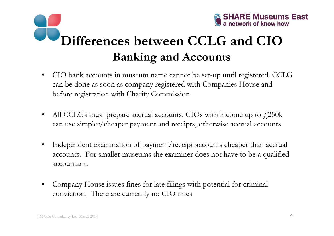

# **Differences between CCLG and CIOBanking and Accounts**

- CIO bank accounts in museum name cannot be set-up until registered. CCLG can be done as soon as company registered with Companies House and before registration with Charity Commission
- All CCLGs must prepare accrual accounts. CIOs with income up to  $\frac{250k}{250k}$ can use simpler/cheaper payment and receipts, otherwise accrual accounts
- Independent examination of payment/receipt accounts cheaper than accrual accounts. For smaller museums the examiner does not have to be a qualified accountant.
- Company House issues fines for late filings with potential for criminal conviction. There are currently no CIO fines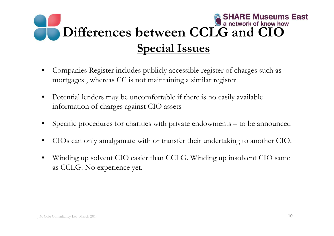

- Companies Register includes publicly accessible register of charges such as mortgages , whereas CC is not maintaining a similar register
- Potential lenders may be uncomfortable if there is no easily available information of charges against CIO assets
- Specific procedures for charities with private endowments to be announced
- CIOs can only amalgamate with or transfer their undertaking to another CIO.
- Winding up solvent CIO easier than CCLG. Winding up insolvent CIO same as CCLG. No experience yet.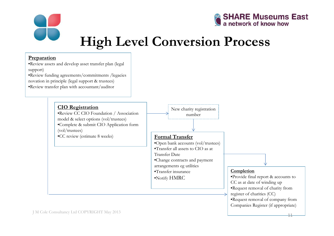



### **High Level Conversion Process**

#### **Preparation**

- •Review assets and develop asset transfer plan (legal support)
- •Review funding agreements/commitments /legacies novation in principle (legal support & trustees)
- •Review transfer plan with accountant/auditor

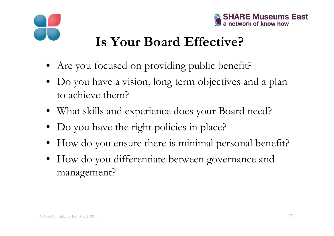



### **Is Your Board Effective?**

- Are you focused on providing public benefit?
- Do you have a vision, long term objectives and a plan to achieve them?
- What skills and experience does your Board need?
- Do you have the right policies in place?
- How do you ensure there is minimal personal benefit?
- How do you differentiate between governance and management?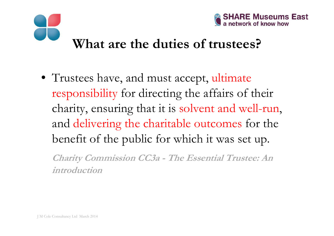



#### **What are the duties of trustees?**

• Trustees have, and must accept, ultimate responsibility for directing the affairs of their charity, ensuring that it is solvent and well-run, and delivering the charitable outcomes for the benefit of the public for which it was set up.

**Charity Commission CC3a - The Essential Trustee: An introduction**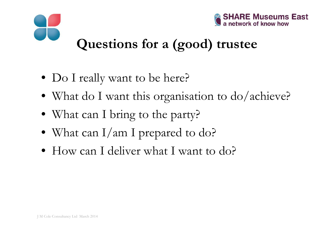



### **Questions for a (good) trustee**

- Do I really want to be here?
- What do I want this organisation to do/achieve?
- What can I bring to the party?
- What can I/am I prepared to do?
- How can I deliver what I want to do?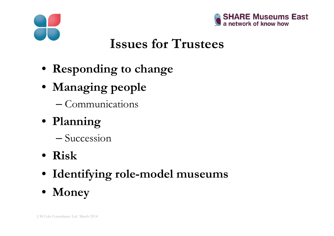



### **Issues for Trustees**

- **Responding to change**
- **Managing people**
	- Communications
- **Planning**
	- Succession
- **Risk**
- **Identifying role-model museums**
- **Money**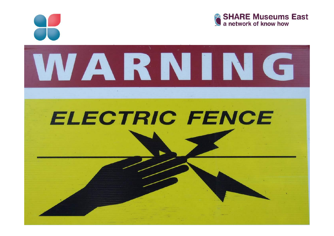

J M Cole Consultancy Ltd March 2014

• **Personalities**





#### **EI ECTDIC EENICE they work as trustees**

• **Culture and resistance to change**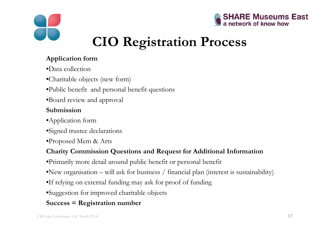



### **CIO Registration Process**

#### **Application form**

- •Data collection
- •Charitable objects (new form)
- •Public benefit and personal benefit questions
- •Board review and approval

#### **Submission**

- •Application form
- •Signed trustee declarations
- •Proposed Mem & Arts

#### **Charity Commission Questions and Request for Additional Information**

- •Primarily more detail around public benefit or personal benefit
- •New organisation will ask for business / financial plan (interest is sustainability)
- •If relying on external funding may ask for proof of funding
- •Suggestion for improved charitable objects

#### **Success = Registration number**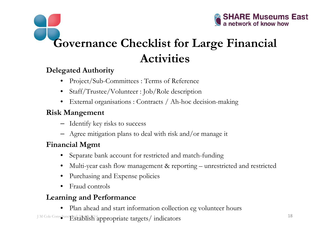

### **Governance Checklist for Large Financial Activities**

#### **Delegated Authority**

- Project/Sub-Committees : Terms of Reference
- Staff/Trustee/Volunteer : Job/Role description
- External organisations : Contracts / Ah-hoc decision-making

#### **Risk Mangement**

- Identify key risks to success
- Agree mitigation plans to deal with risk and/or manage it

#### **Financial Mgmt**

- Separate bank account for restricted and match-funding
- Multi-year cash flow management & reporting unrestricted and restricted
- Purchasing and Expense policies
- Fraud controls

#### **Learning and Performance**

J M Cole Consultance Ltd, March 2014<br> **Establish appropriate targets/indicators** 18 • Plan ahead and start information collection eg volunteer hours